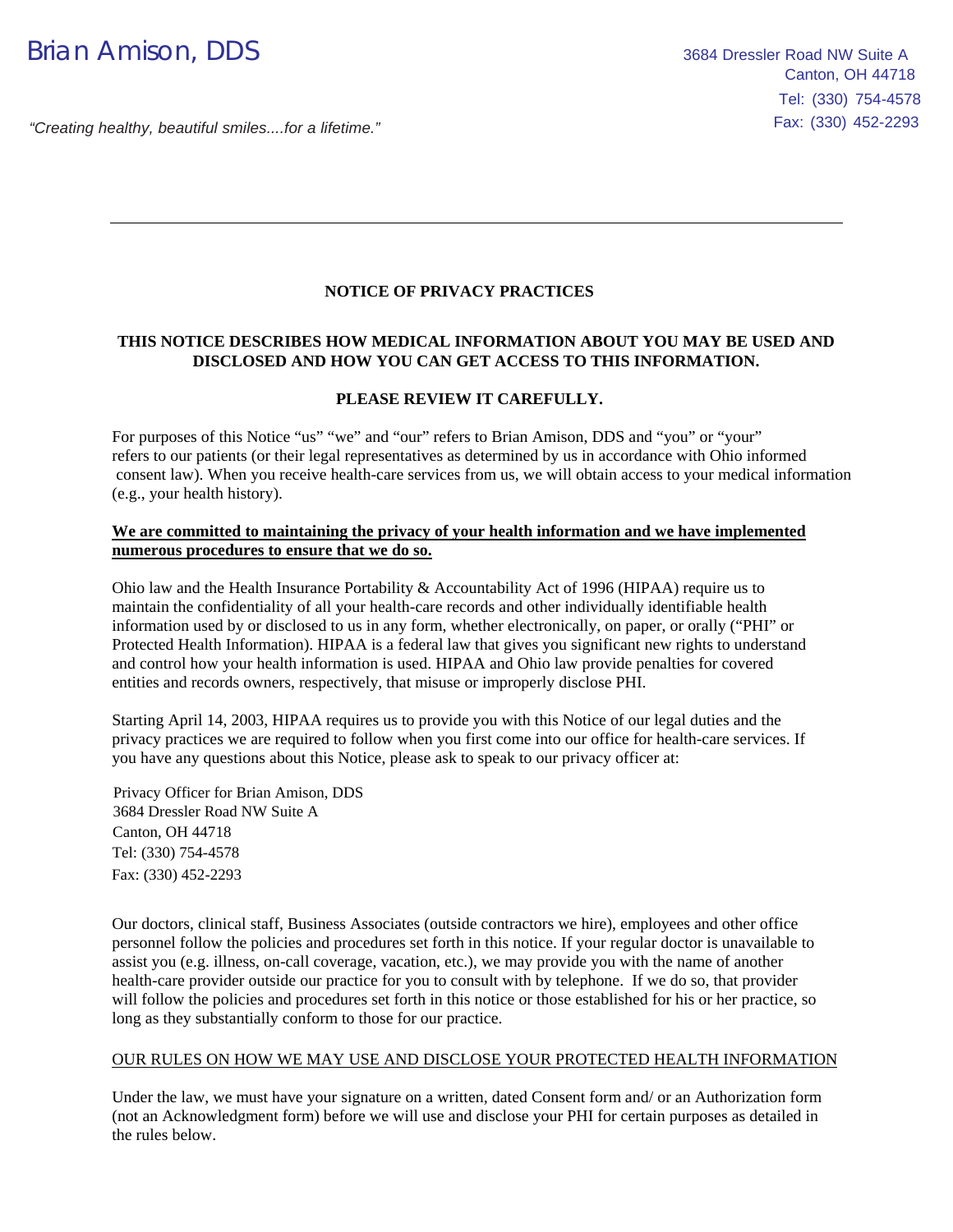## **NOTICE OF PRIVACY PRACTICES**

### **THIS NOTICE DESCRIBES HOW MEDICAL INFORMATION ABOUT YOU MAY BE USED AND DISCLOSED AND HOW YOU CAN GET ACCESS TO THIS INFORMATION.**

### **PLEASE REVIEW IT CAREFULLY.**

For purposes of this Notice "us" "we" and "our" refers to Brian Amison, DDS and "you" or "your" refers to our patients (or their legal representatives as determined by us in accordance with Ohio informed consent law). When you receive health-care services from us, we will obtain access to your medical information (e.g., your health history).

#### **We are committed to maintaining the privacy of your health information and we have implemented numerous procedures to ensure that we do so.**

Ohio law and the Health Insurance Portability & Accountability Act of 1996 (HIPAA) require us to maintain the confidentiality of all your health-care records and other individually identifiable health information used by or disclosed to us in any form, whether electronically, on paper, or orally ("PHI" or Protected Health Information). HIPAA is a federal law that gives you significant new rights to understand and control how your health information is used. HIPAA and Ohio law provide penalties for covered entities and records owners, respectively, that misuse or improperly disclose PHI.

Starting April 14, 2003, HIPAA requires us to provide you with this Notice of our legal duties and the privacy practices we are required to follow when you first come into our office for health-care services. If you have any questions about this Notice, please ask to speak to our privacy officer at:

Privacy Officer for Brian Amison, DDS 3684 Dressler Road NW Suite A Canton, OH 44718 Tel: (330) 754-4578 Fax: (330) 452-2293

Our doctors, clinical staff, Business Associates (outside contractors we hire), employees and other office personnel follow the policies and procedures set forth in this notice. If your regular doctor is unavailable to assist you (e.g. illness, on-call coverage, vacation, etc.), we may provide you with the name of another health-care provider outside our practice for you to consult with by telephone. If we do so, that provider will follow the policies and procedures set forth in this notice or those established for his or her practice, so long as they substantially conform to those for our practice.

#### OUR RULES ON HOW WE MAY USE AND DISCLOSE YOUR PROTECTED HEALTH INFORMATION

Under the law, we must have your signature on a written, dated Consent form and/ or an Authorization form (not an Acknowledgment form) before we will use and disclose your PHI for certain purposes as detailed in the rules below.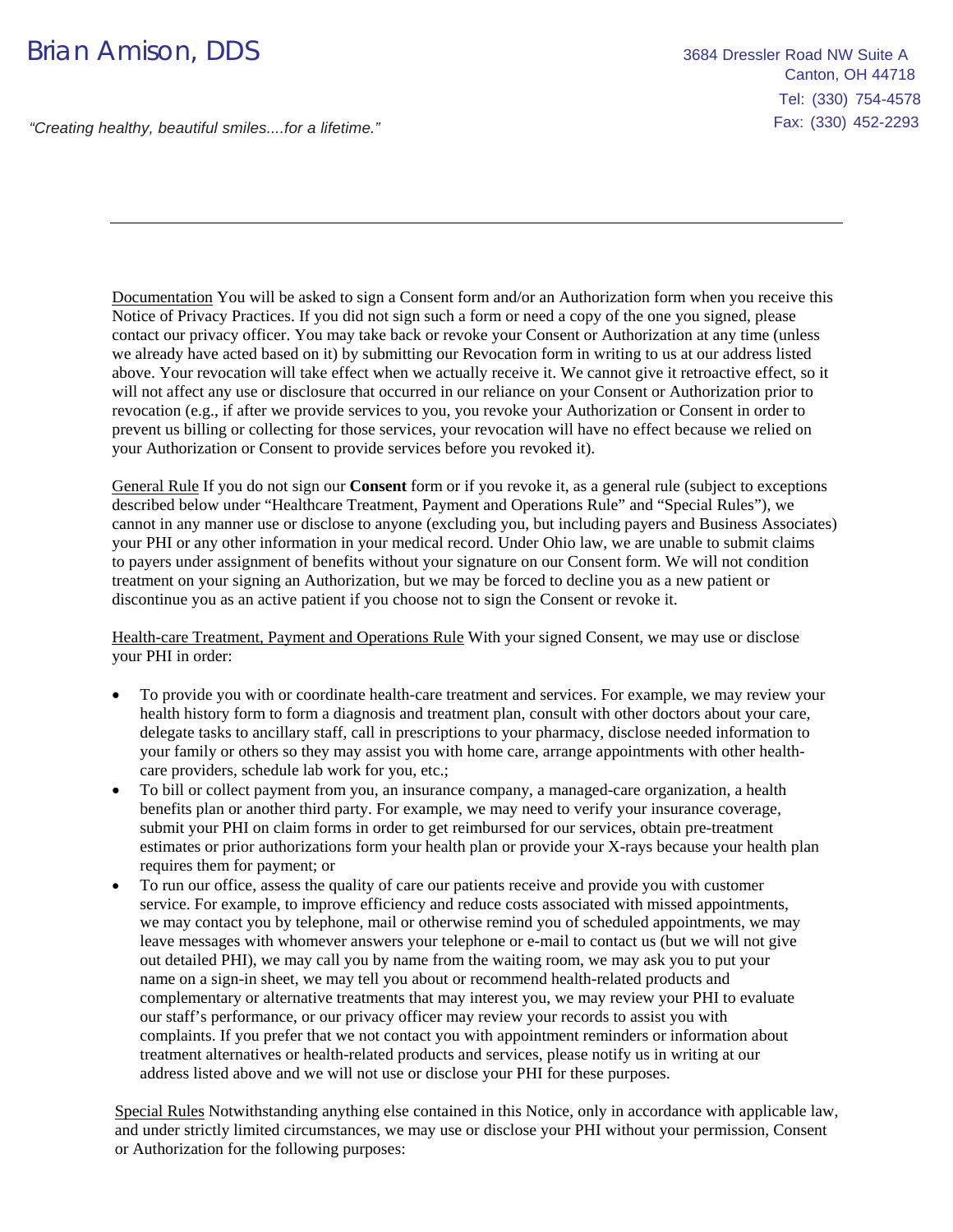# Brian Amison, DDS 3684 Dressler Road NW Suite A

"Creating healthy, beautiful smiles....for a lifetime."

Documentation You will be asked to sign a Consent form and/or an Authorization form when you receive this Notice of Privacy Practices. If you did not sign such a form or need a copy of the one you signed, please contact our privacy officer. You may take back or revoke your Consent or Authorization at any time (unless we already have acted based on it) by submitting our Revocation form in writing to us at our address listed above. Your revocation will take effect when we actually receive it. We cannot give it retroactive effect, so it will not affect any use or disclosure that occurred in our reliance on your Consent or Authorization prior to revocation (e.g., if after we provide services to you, you revoke your Authorization or Consent in order to prevent us billing or collecting for those services, your revocation will have no effect because we relied on your Authorization or Consent to provide services before you revoked it).

General Rule If you do not sign our **Consent** form or if you revoke it, as a general rule (subject to exceptions described below under "Healthcare Treatment, Payment and Operations Rule" and "Special Rules"), we cannot in any manner use or disclose to anyone (excluding you, but including payers and Business Associates) your PHI or any other information in your medical record. Under Ohio law, we are unable to submit claims to payers under assignment of benefits without your signature on our Consent form. We will not condition treatment on your signing an Authorization, but we may be forced to decline you as a new patient or discontinue you as an active patient if you choose not to sign the Consent or revoke it.

Health-care Treatment, Payment and Operations Rule With your signed Consent, we may use or disclose your PHI in order:

- To provide you with or coordinate health-care treatment and services. For example, we may review your health history form to form a diagnosis and treatment plan, consult with other doctors about your care, delegate tasks to ancillary staff, call in prescriptions to your pharmacy, disclose needed information to your family or others so they may assist you with home care, arrange appointments with other healthcare providers, schedule lab work for you, etc.;
- To bill or collect payment from you, an insurance company, a managed-care organization, a health benefits plan or another third party. For example, we may need to verify your insurance coverage, submit your PHI on claim forms in order to get reimbursed for our services, obtain pre-treatment estimates or prior authorizations form your health plan or provide your X-rays because your health plan requires them for payment; or
- To run our office, assess the quality of care our patients receive and provide you with customer service. For example, to improve efficiency and reduce costs associated with missed appointments, we may contact you by telephone, mail or otherwise remind you of scheduled appointments, we may leave messages with whomever answers your telephone or e-mail to contact us (but we will not give out detailed PHI), we may call you by name from the waiting room, we may ask you to put your name on a sign-in sheet, we may tell you about or recommend health-related products and complementary or alternative treatments that may interest you, we may review your PHI to evaluate our staff's performance, or our privacy officer may review your records to assist you with complaints. If you prefer that we not contact you with appointment reminders or information about treatment alternatives or health-related products and services, please notify us in writing at our address listed above and we will not use or disclose your PHI for these purposes.

Special Rules Notwithstanding anything else contained in this Notice, only in accordance with applicable law, and under strictly limited circumstances, we may use or disclose your PHI without your permission, Consent or Authorization for the following purposes: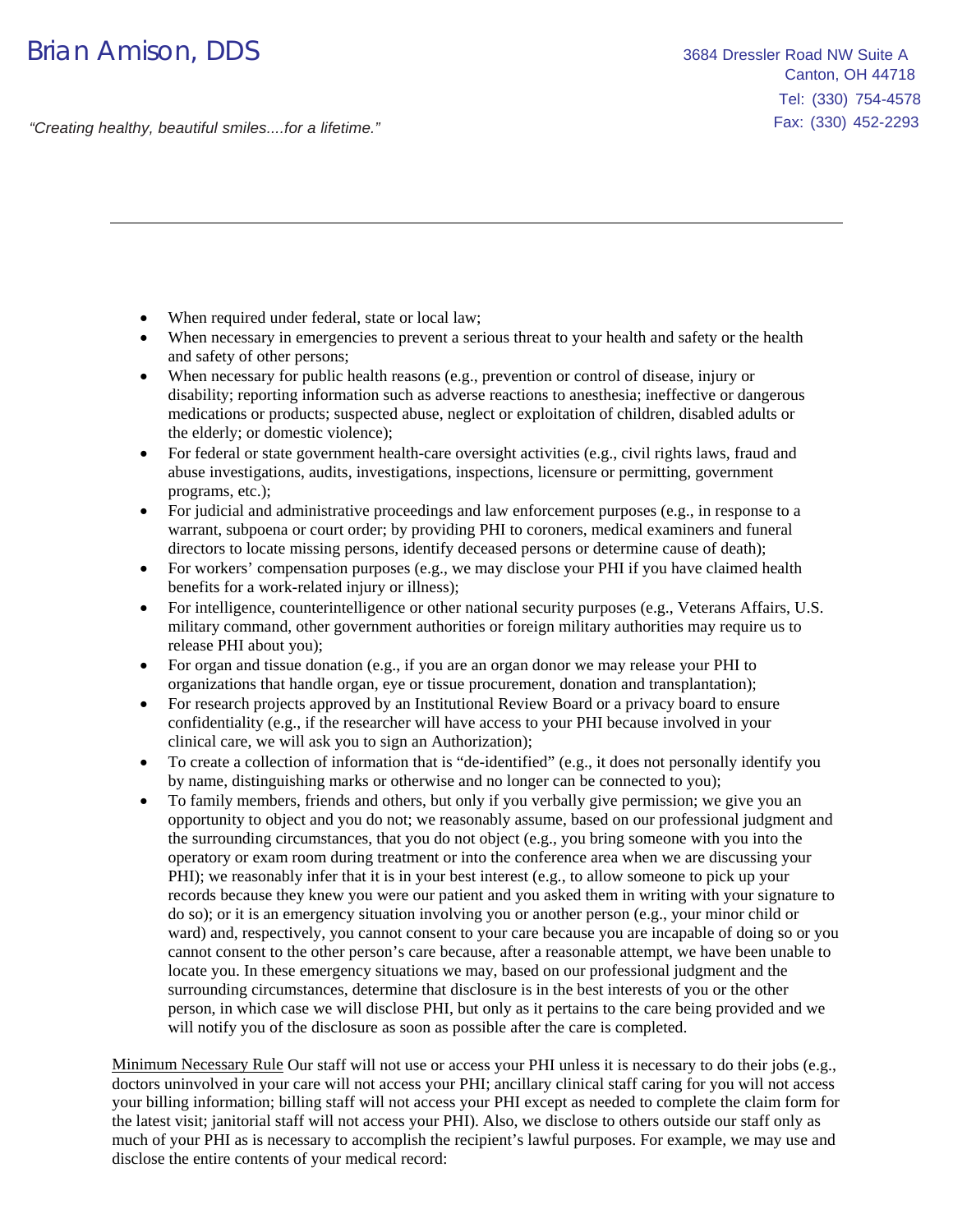- When required under federal, state or local law;
- When necessary in emergencies to prevent a serious threat to your health and safety or the health and safety of other persons;
- When necessary for public health reasons (e.g., prevention or control of disease, injury or disability; reporting information such as adverse reactions to anesthesia; ineffective or dangerous medications or products; suspected abuse, neglect or exploitation of children, disabled adults or the elderly; or domestic violence);
- For federal or state government health-care oversight activities (e.g., civil rights laws, fraud and abuse investigations, audits, investigations, inspections, licensure or permitting, government programs, etc.);
- For judicial and administrative proceedings and law enforcement purposes (e.g., in response to a warrant, subpoena or court order; by providing PHI to coroners, medical examiners and funeral directors to locate missing persons, identify deceased persons or determine cause of death);
- For workers' compensation purposes (e.g., we may disclose your PHI if you have claimed health benefits for a work-related injury or illness);
- For intelligence, counterintelligence or other national security purposes (e.g., Veterans Affairs, U.S. military command, other government authorities or foreign military authorities may require us to release PHI about you);
- For organ and tissue donation (e.g., if you are an organ donor we may release your PHI to organizations that handle organ, eye or tissue procurement, donation and transplantation);
- For research projects approved by an Institutional Review Board or a privacy board to ensure confidentiality (e.g., if the researcher will have access to your PHI because involved in your clinical care, we will ask you to sign an Authorization);
- To create a collection of information that is "de-identified" (e.g., it does not personally identify you by name, distinguishing marks or otherwise and no longer can be connected to you);
- To family members, friends and others, but only if you verbally give permission; we give you an opportunity to object and you do not; we reasonably assume, based on our professional judgment and the surrounding circumstances, that you do not object (e.g., you bring someone with you into the operatory or exam room during treatment or into the conference area when we are discussing your PHI); we reasonably infer that it is in your best interest (e.g., to allow someone to pick up your records because they knew you were our patient and you asked them in writing with your signature to do so); or it is an emergency situation involving you or another person (e.g., your minor child or ward) and, respectively, you cannot consent to your care because you are incapable of doing so or you cannot consent to the other person's care because, after a reasonable attempt, we have been unable to locate you. In these emergency situations we may, based on our professional judgment and the surrounding circumstances, determine that disclosure is in the best interests of you or the other person, in which case we will disclose PHI, but only as it pertains to the care being provided and we will notify you of the disclosure as soon as possible after the care is completed.

Minimum Necessary Rule Our staff will not use or access your PHI unless it is necessary to do their jobs (e.g., doctors uninvolved in your care will not access your PHI; ancillary clinical staff caring for you will not access your billing information; billing staff will not access your PHI except as needed to complete the claim form for the latest visit; janitorial staff will not access your PHI). Also, we disclose to others outside our staff only as much of your PHI as is necessary to accomplish the recipient's lawful purposes. For example, we may use and disclose the entire contents of your medical record: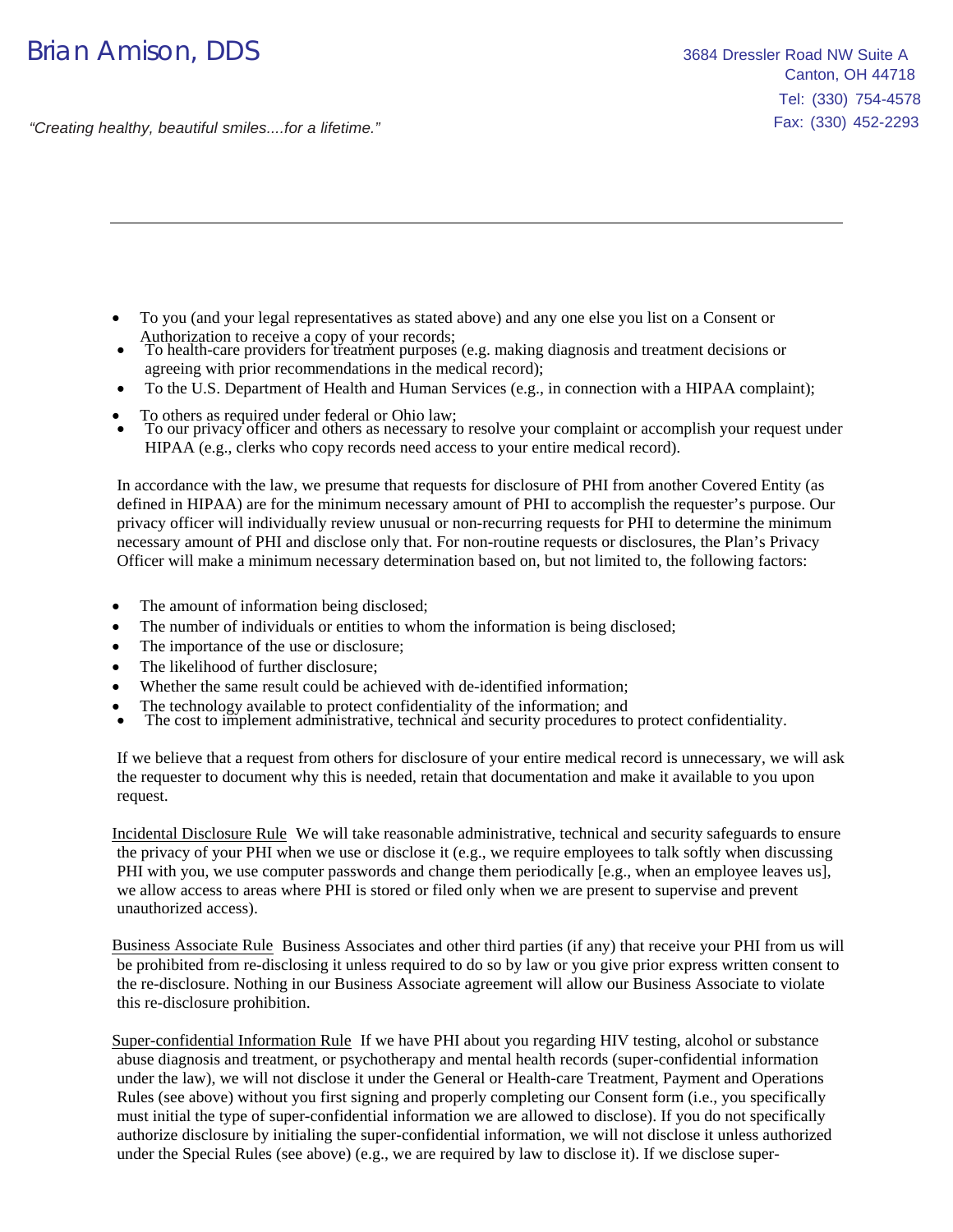## Brian Amison, DDS 3684 Dressler Road NW Suite A

"Creating healthy, beautiful smiles....for a lifetime."

- To you (and your legal representatives as stated above) and any one else you list on a Consent or Authorization to receive a copy of your records;
- To health-care providers for treatment purposes (e.g. making diagnosis and treatment decisions or agreeing with prior recommendations in the medical record);
- To the U.S. Department of Health and Human Services (e.g., in connection with a HIPAA complaint);
- To others as required under federal or Ohio law;
- To our privacy officer and others as necessary to resolve your complaint or accomplish your request under HIPAA (e.g., clerks who copy records need access to your entire medical record).

In accordance with the law, we presume that requests for disclosure of PHI from another Covered Entity (as defined in HIPAA) are for the minimum necessary amount of PHI to accomplish the requester's purpose. Our privacy officer will individually review unusual or non-recurring requests for PHI to determine the minimum necessary amount of PHI and disclose only that. For non-routine requests or disclosures, the Plan's Privacy Officer will make a minimum necessary determination based on, but not limited to, the following factors:

- The amount of information being disclosed;
- The number of individuals or entities to whom the information is being disclosed;
- The importance of the use or disclosure;
- The likelihood of further disclosure;
- Whether the same result could be achieved with de-identified information;
- The technology available to protect confidentiality of the information; and
- The cost to implement administrative, technical and security procedures to protect confidentiality.

If we believe that a request from others for disclosure of your entire medical record is unnecessary, we will ask the requester to document why this is needed, retain that documentation and make it available to you upon request.

Incidental Disclosure Rule We will take reasonable administrative, technical and security safeguards to ensure the privacy of your PHI when we use or disclose it (e.g., we require employees to talk softly when discussing PHI with you, we use computer passwords and change them periodically [e.g., when an employee leaves us], we allow access to areas where PHI is stored or filed only when we are present to supervise and prevent unauthorized access).

Business Associate Rule Business Associates and other third parties (if any) that receive your PHI from us will be prohibited from re-disclosing it unless required to do so by law or you give prior express written consent to the re-disclosure. Nothing in our Business Associate agreement will allow our Business Associate to violate this re-disclosure prohibition.

Super-confidential Information Rule If we have PHI about you regarding HIV testing, alcohol or substance abuse diagnosis and treatment, or psychotherapy and mental health records (super-confidential information under the law), we will not disclose it under the General or Health-care Treatment, Payment and Operations Rules (see above) without you first signing and properly completing our Consent form (i.e., you specifically must initial the type of super-confidential information we are allowed to disclose). If you do not specifically authorize disclosure by initialing the super-confidential information, we will not disclose it unless authorized under the Special Rules (see above) (e.g., we are required by law to disclose it). If we disclose super-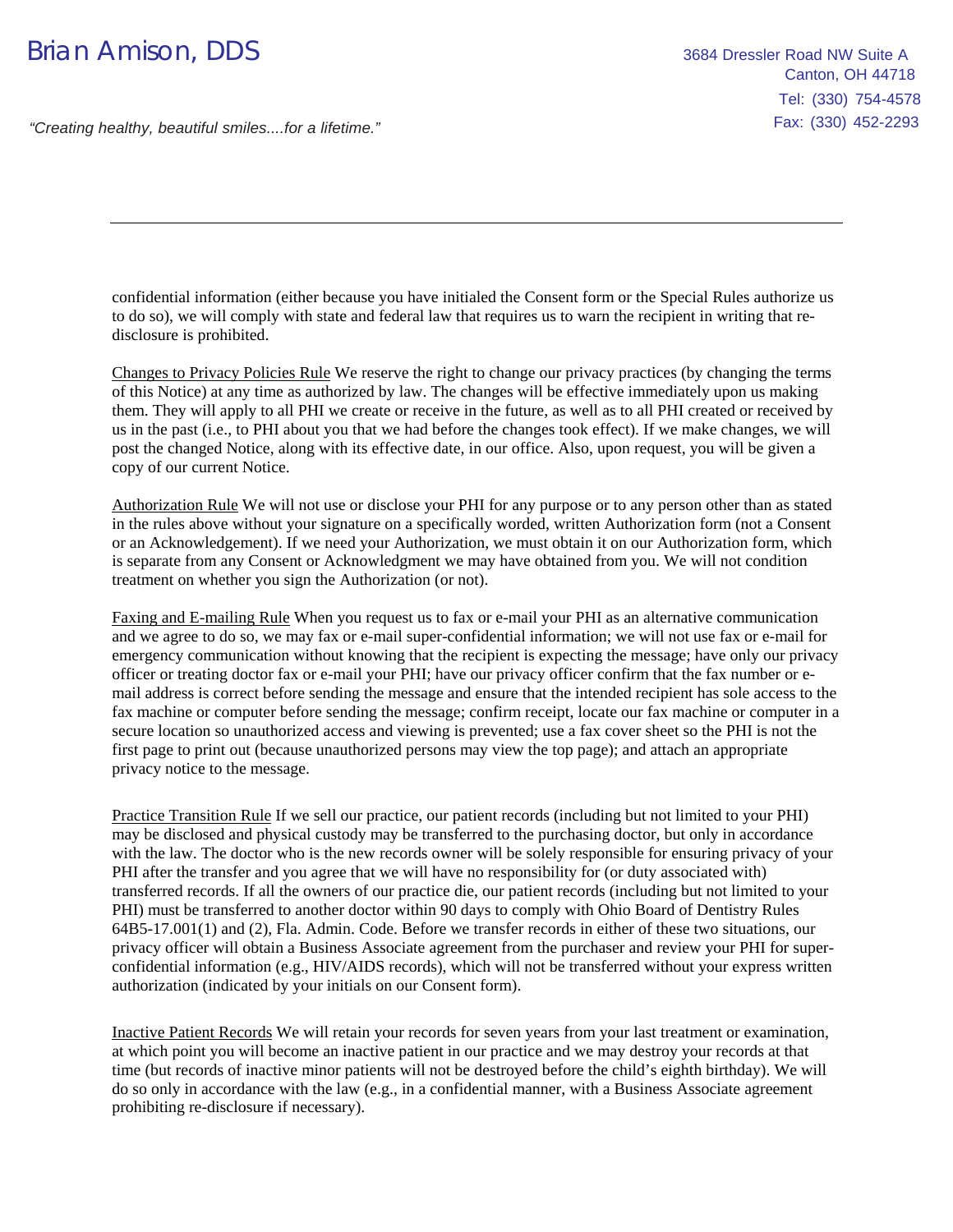confidential information (either because you have initialed the Consent form or the Special Rules authorize us to do so), we will comply with state and federal law that requires us to warn the recipient in writing that redisclosure is prohibited.

Changes to Privacy Policies Rule We reserve the right to change our privacy practices (by changing the terms of this Notice) at any time as authorized by law. The changes will be effective immediately upon us making them. They will apply to all PHI we create or receive in the future, as well as to all PHI created or received by us in the past (i.e., to PHI about you that we had before the changes took effect). If we make changes, we will post the changed Notice, along with its effective date, in our office. Also, upon request, you will be given a copy of our current Notice.

Authorization Rule We will not use or disclose your PHI for any purpose or to any person other than as stated in the rules above without your signature on a specifically worded, written Authorization form (not a Consent or an Acknowledgement). If we need your Authorization, we must obtain it on our Authorization form, which is separate from any Consent or Acknowledgment we may have obtained from you. We will not condition treatment on whether you sign the Authorization (or not).

Faxing and E-mailing Rule When you request us to fax or e-mail your PHI as an alternative communication and we agree to do so, we may fax or e-mail super-confidential information; we will not use fax or e-mail for emergency communication without knowing that the recipient is expecting the message; have only our privacy officer or treating doctor fax or e-mail your PHI; have our privacy officer confirm that the fax number or email address is correct before sending the message and ensure that the intended recipient has sole access to the fax machine or computer before sending the message; confirm receipt, locate our fax machine or computer in a secure location so unauthorized access and viewing is prevented; use a fax cover sheet so the PHI is not the first page to print out (because unauthorized persons may view the top page); and attach an appropriate privacy notice to the message.

Practice Transition Rule If we sell our practice, our patient records (including but not limited to your PHI) may be disclosed and physical custody may be transferred to the purchasing doctor, but only in accordance with the law. The doctor who is the new records owner will be solely responsible for ensuring privacy of your PHI after the transfer and you agree that we will have no responsibility for (or duty associated with) transferred records. If all the owners of our practice die, our patient records (including but not limited to your PHI) must be transferred to another doctor within 90 days to comply with Ohio Board of Dentistry Rules 64B5-17.001(1) and (2), Fla. Admin. Code. Before we transfer records in either of these two situations, our privacy officer will obtain a Business Associate agreement from the purchaser and review your PHI for superconfidential information (e.g., HIV/AIDS records), which will not be transferred without your express written authorization (indicated by your initials on our Consent form).

Inactive Patient Records We will retain your records for seven years from your last treatment or examination, at which point you will become an inactive patient in our practice and we may destroy your records at that time (but records of inactive minor patients will not be destroyed before the child's eighth birthday). We will do so only in accordance with the law (e.g., in a confidential manner, with a Business Associate agreement prohibiting re-disclosure if necessary).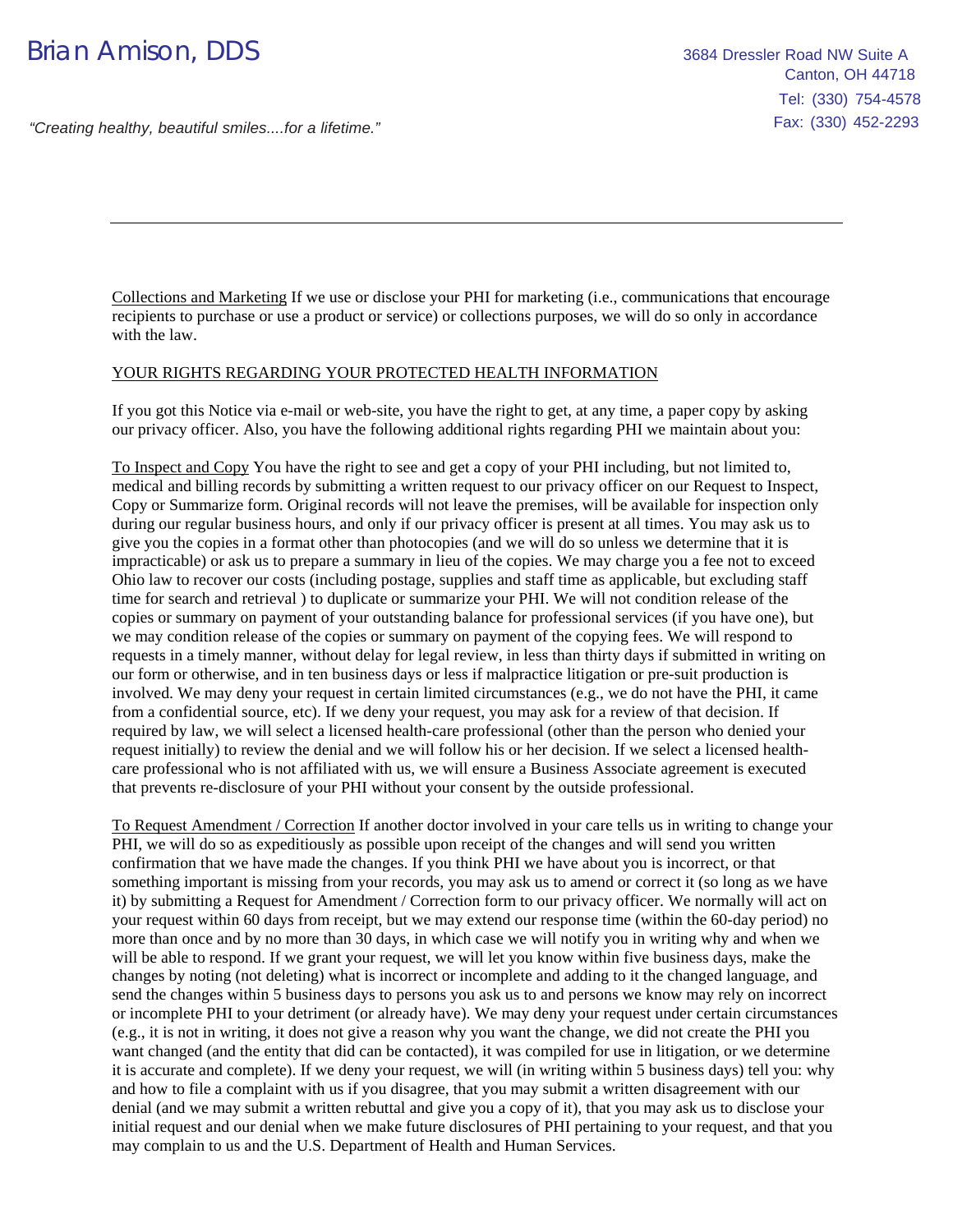Collections and Marketing If we use or disclose your PHI for marketing (i.e., communications that encourage recipients to purchase or use a product or service) or collections purposes, we will do so only in accordance with the law.

#### YOUR RIGHTS REGARDING YOUR PROTECTED HEALTH INFORMATION

If you got this Notice via e-mail or web-site, you have the right to get, at any time, a paper copy by asking our privacy officer. Also, you have the following additional rights regarding PHI we maintain about you:

To Inspect and Copy You have the right to see and get a copy of your PHI including, but not limited to, medical and billing records by submitting a written request to our privacy officer on our Request to Inspect, Copy or Summarize form. Original records will not leave the premises, will be available for inspection only during our regular business hours, and only if our privacy officer is present at all times. You may ask us to give you the copies in a format other than photocopies (and we will do so unless we determine that it is impracticable) or ask us to prepare a summary in lieu of the copies. We may charge you a fee not to exceed Ohio law to recover our costs (including postage, supplies and staff time as applicable, but excluding staff time for search and retrieval ) to duplicate or summarize your PHI. We will not condition release of the copies or summary on payment of your outstanding balance for professional services (if you have one), but we may condition release of the copies or summary on payment of the copying fees. We will respond to requests in a timely manner, without delay for legal review, in less than thirty days if submitted in writing on our form or otherwise, and in ten business days or less if malpractice litigation or pre-suit production is involved. We may deny your request in certain limited circumstances (e.g., we do not have the PHI, it came from a confidential source, etc). If we deny your request, you may ask for a review of that decision. If required by law, we will select a licensed health-care professional (other than the person who denied your request initially) to review the denial and we will follow his or her decision. If we select a licensed healthcare professional who is not affiliated with us, we will ensure a Business Associate agreement is executed that prevents re-disclosure of your PHI without your consent by the outside professional.

To Request Amendment / Correction If another doctor involved in your care tells us in writing to change your PHI, we will do so as expeditiously as possible upon receipt of the changes and will send you written confirmation that we have made the changes. If you think PHI we have about you is incorrect, or that something important is missing from your records, you may ask us to amend or correct it (so long as we have it) by submitting a Request for Amendment / Correction form to our privacy officer. We normally will act on your request within 60 days from receipt, but we may extend our response time (within the 60-day period) no more than once and by no more than 30 days, in which case we will notify you in writing why and when we will be able to respond. If we grant your request, we will let you know within five business days, make the changes by noting (not deleting) what is incorrect or incomplete and adding to it the changed language, and send the changes within 5 business days to persons you ask us to and persons we know may rely on incorrect or incomplete PHI to your detriment (or already have). We may deny your request under certain circumstances (e.g., it is not in writing, it does not give a reason why you want the change, we did not create the PHI you want changed (and the entity that did can be contacted), it was compiled for use in litigation, or we determine it is accurate and complete). If we deny your request, we will (in writing within 5 business days) tell you: why and how to file a complaint with us if you disagree, that you may submit a written disagreement with our denial (and we may submit a written rebuttal and give you a copy of it), that you may ask us to disclose your initial request and our denial when we make future disclosures of PHI pertaining to your request, and that you may complain to us and the U.S. Department of Health and Human Services.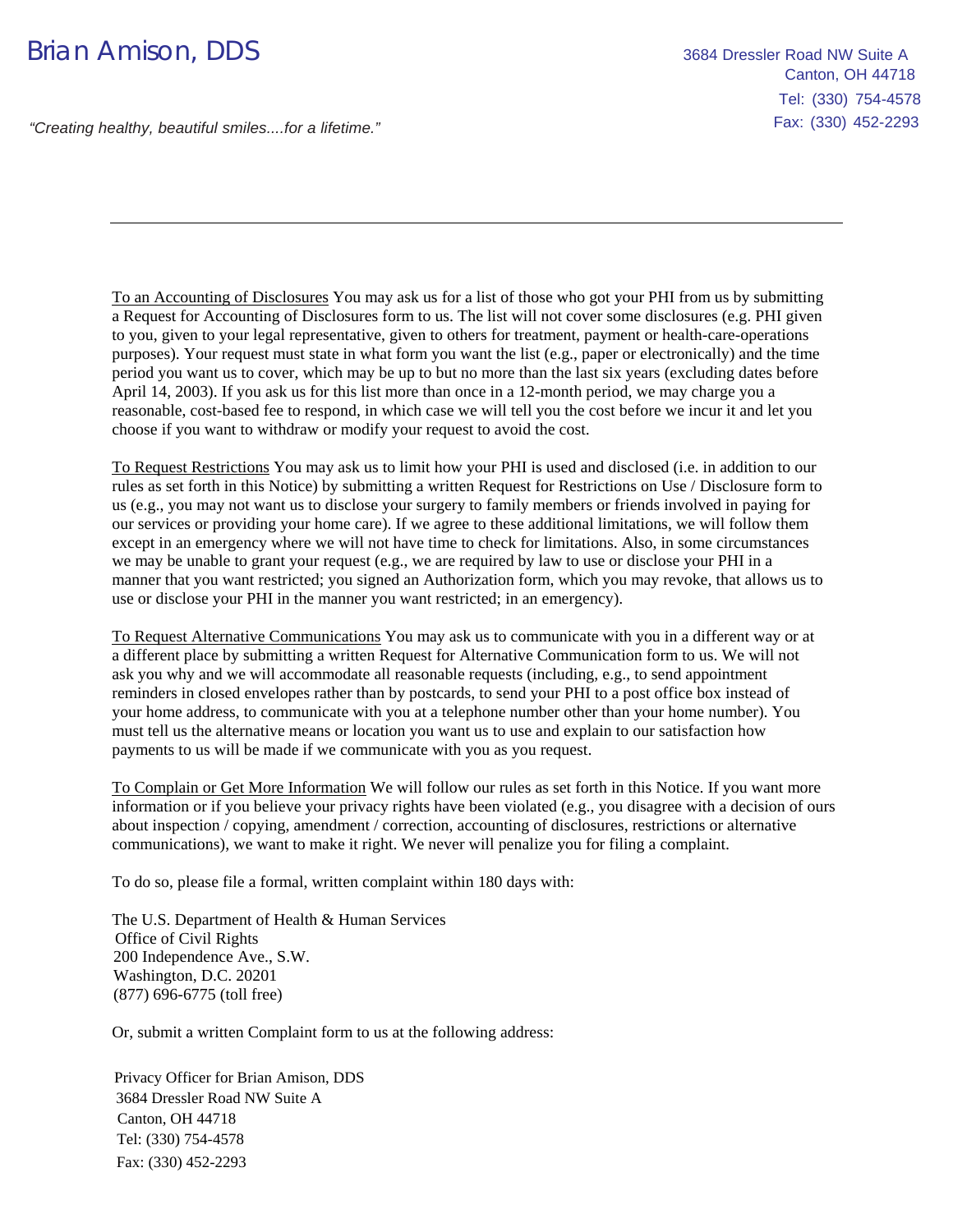To an Accounting of Disclosures You may ask us for a list of those who got your PHI from us by submitting a Request for Accounting of Disclosures form to us. The list will not cover some disclosures (e.g. PHI given to you, given to your legal representative, given to others for treatment, payment or health-care-operations purposes). Your request must state in what form you want the list (e.g., paper or electronically) and the time period you want us to cover, which may be up to but no more than the last six years (excluding dates before April 14, 2003). If you ask us for this list more than once in a 12-month period, we may charge you a reasonable, cost-based fee to respond, in which case we will tell you the cost before we incur it and let you choose if you want to withdraw or modify your request to avoid the cost.

To Request Restrictions You may ask us to limit how your PHI is used and disclosed (i.e. in addition to our rules as set forth in this Notice) by submitting a written Request for Restrictions on Use / Disclosure form to us (e.g., you may not want us to disclose your surgery to family members or friends involved in paying for our services or providing your home care). If we agree to these additional limitations, we will follow them except in an emergency where we will not have time to check for limitations. Also, in some circumstances we may be unable to grant your request (e.g., we are required by law to use or disclose your PHI in a manner that you want restricted; you signed an Authorization form, which you may revoke, that allows us to use or disclose your PHI in the manner you want restricted; in an emergency).

To Request Alternative Communications You may ask us to communicate with you in a different way or at a different place by submitting a written Request for Alternative Communication form to us. We will not ask you why and we will accommodate all reasonable requests (including, e.g., to send appointment reminders in closed envelopes rather than by postcards, to send your PHI to a post office box instead of your home address, to communicate with you at a telephone number other than your home number). You must tell us the alternative means or location you want us to use and explain to our satisfaction how payments to us will be made if we communicate with you as you request.

To Complain or Get More Information We will follow our rules as set forth in this Notice. If you want more information or if you believe your privacy rights have been violated (e.g., you disagree with a decision of ours about inspection / copying, amendment / correction, accounting of disclosures, restrictions or alternative communications), we want to make it right. We never will penalize you for filing a complaint.

To do so, please file a formal, written complaint within 180 days with:

The U.S. Department of Health & Human Services Office of Civil Rights 200 Independence Ave., S.W. Washington, D.C. 20201 (877) 696-6775 (toll free)

Or, submit a written Complaint form to us at the following address:

Privacy Officer for Brian Amison, DDS 3684 Dressler Road NW Suite A Canton, OH 44718 Tel: (330) 754-4578 Fax: (330) 452-2293